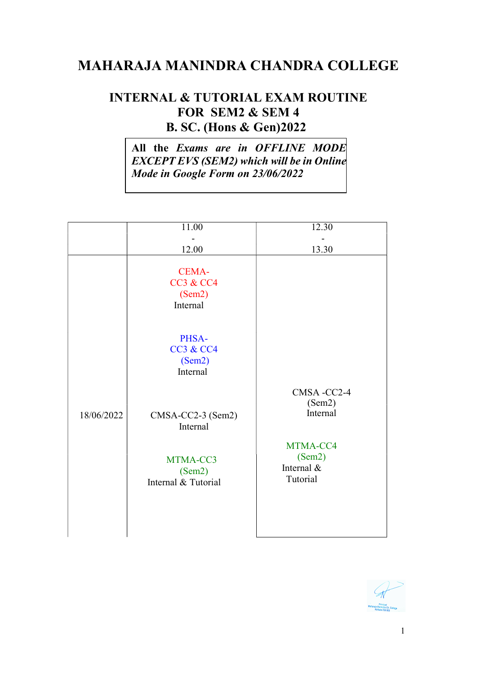## MAHARAJA MANINDRA CHANDRA COLLEGE

## INTERNAL & TUTORIAL EXAM ROUTINE FOR SEM2 & SEM 4 **B. SC. (Hons & Gen) 2022**

All the Exams are in OFFLINE MODE EXCEPT EVS (SEM2) which will be in Online Mode in Google Form on 23/06/2022

|            | 11.00                                                      | 12.30                                        |
|------------|------------------------------------------------------------|----------------------------------------------|
|            | 12.00                                                      | 13.30                                        |
|            | <b>CEMA-</b><br><b>CC3 &amp; CC4</b><br>(Sem2)<br>Internal |                                              |
|            | PHSA-<br><b>CC3 &amp; CC4</b><br>(Sem2)<br>Internal        |                                              |
| 18/06/2022 | CMSA-CC2-3 (Sem2)<br>Internal                              | CMSA-CC2-4<br>(Sem2)<br>Internal             |
|            | MTMA-CC3<br>(Sem2)<br>Internal & Tutorial                  | MTMA-CC4<br>(Sem2)<br>Internal &<br>Tutorial |
|            |                                                            |                                              |

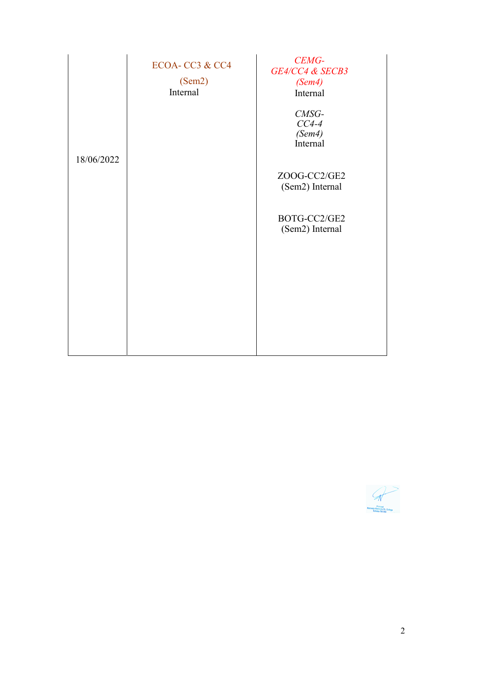|            | ECOA-CC3 & CC4<br>(Sem2)<br>Internal | CEMG-<br>GE4/CC4 & SECB3<br>(Sem4)<br>Internal |
|------------|--------------------------------------|------------------------------------------------|
|            |                                      | CMSG-<br>$CC4-4$<br>(Sem4)<br>Internal         |
| 18/06/2022 |                                      | ZOOG-CC2/GE2<br>(Sem2) Internal                |
|            |                                      | BOTG-CC2/GE2<br>(Sem2) Internal                |
|            |                                      |                                                |
|            |                                      |                                                |

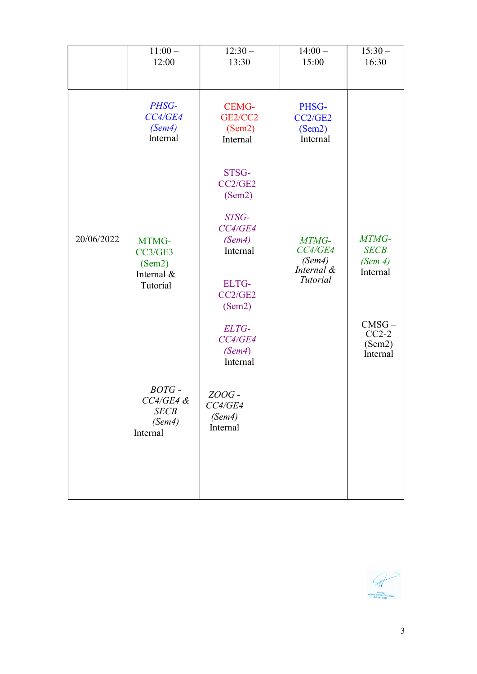|            | $11:00 -$<br>12:00                                        | $12:30-$<br>13:30                             | $14:00 -$<br>15:00                                   | $15:30 -$<br>16:30                          |
|------------|-----------------------------------------------------------|-----------------------------------------------|------------------------------------------------------|---------------------------------------------|
|            | PHSG-<br>CC4/GE4<br>(Sem4)<br>Internal                    | <b>CEMG-</b><br>GE2/CC2<br>(Sem2)<br>Internal | PHSG-<br>CC2/GE2<br>(Sem2)<br>Internal               |                                             |
|            |                                                           | STSG-<br>CC2/GE2<br>(Sem2)                    |                                                      |                                             |
| 20/06/2022 | MTMG-<br>CC3/GE3<br>(Sem2)<br>Internal &                  | STSG-<br>CC4/GE4<br>(Sem4)<br>Internal        | MTMG-<br>CC4/GE4<br>(Sem4)<br>Internal &<br>Tutorial | MTMG-<br><b>SECB</b><br>(Sem 4)<br>Internal |
|            | Tutorial                                                  | <b>ELTG-</b><br>CC2/GE2<br>(Sem2)             |                                                      | $CMSG -$                                    |
|            |                                                           | ELTG-<br>CC4/GE4<br>(Sem4)<br>Internal        |                                                      | $CC2-2$<br>(Sem2)<br>Internal               |
|            | BOTG-<br>$CC4/GE4$ &<br><b>SECB</b><br>(Sem4)<br>Internal | ZOOG-<br>CC4/GE4<br>(Sem4)<br>Internal        |                                                      |                                             |
|            |                                                           |                                               |                                                      |                                             |

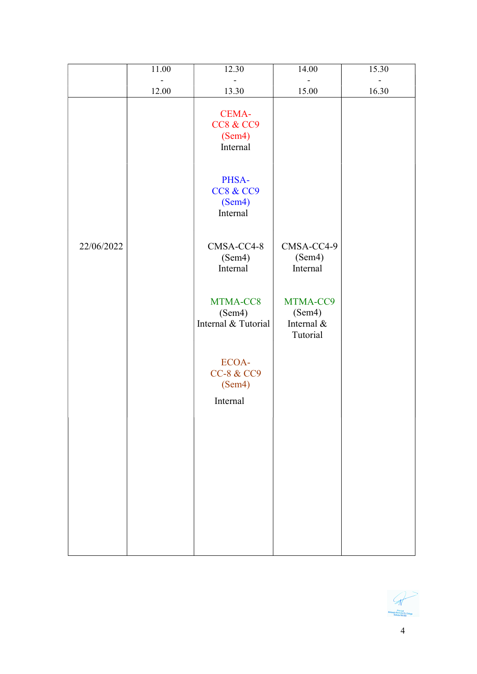|            | 11.00 | 12.30                                                | 14.00                                        | 15.30 |
|------------|-------|------------------------------------------------------|----------------------------------------------|-------|
|            | 12.00 | 13.30                                                | $\blacksquare$<br>15.00                      | 16.30 |
|            |       | CEMA-<br><b>CC8 &amp; CC9</b><br>(Sem4)<br>Internal  |                                              |       |
|            |       | PHSA-<br><b>CC8 &amp; CC9</b><br>(Sem4)<br>Internal  |                                              |       |
| 22/06/2022 |       | CMSA-CC4-8<br>(Sem4)<br>Internal                     | CMSA-CC4-9<br>(Sem4)<br>Internal             |       |
|            |       | MTMA-CC8<br>(Sem4)<br>Internal & Tutorial            | MTMA-CC9<br>(Sem4)<br>Internal &<br>Tutorial |       |
|            |       | ECOA-<br><b>CC-8 &amp; CC9</b><br>(Sem4)<br>Internal |                                              |       |
|            |       |                                                      |                                              |       |
|            |       |                                                      |                                              |       |
|            |       |                                                      |                                              |       |